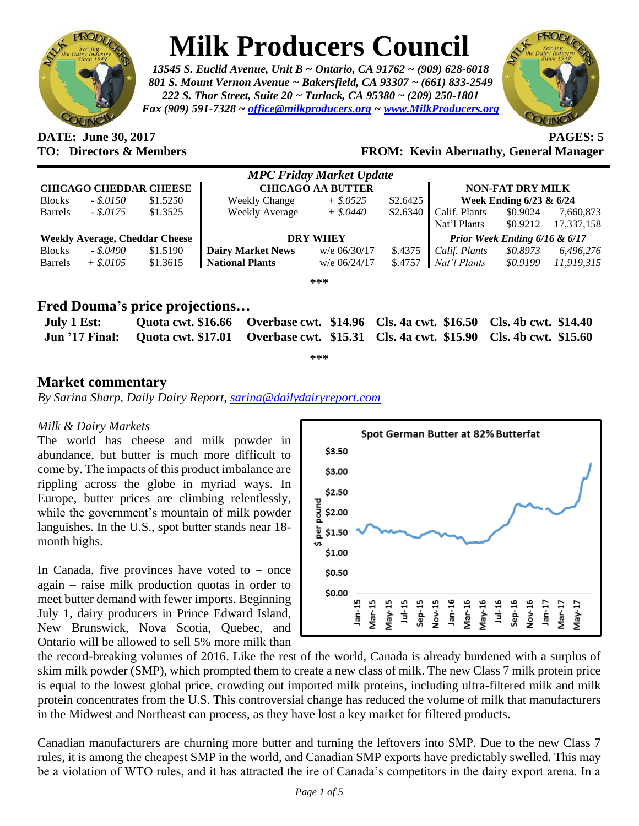

# **Milk Producers Council**

*13545 S. Euclid Avenue, Unit B ~ Ontario, CA 91762 ~ (909) 628-6018 801 S. Mount Vernon Avenue ~ Bakersfield, CA 93307 ~ (661) 833-2549 222 S. Thor Street, Suite 20 ~ Turlock, CA 95380 ~ (209) 250-1801 Fax (909) 591-7328 ~ [office@milkproducers.org](mailto:office@milkproducers.org) ~ [www.MilkProducers.org](http://www.milkproducers.org/)*



**DATE: June 30, 2017 PAGES: 5**

## **TO: Directors & Members FROM: Kevin Abernathy, General Manager**

| <b>MPC Friday Market Update</b>       |              |          |                          |                |          |                               |          |            |  |  |  |
|---------------------------------------|--------------|----------|--------------------------|----------------|----------|-------------------------------|----------|------------|--|--|--|
| <b>CHICAGO CHEDDAR CHEESE</b>         |              |          | <b>CHICAGO AA BUTTER</b> |                |          | <b>NON-FAT DRY MILK</b>       |          |            |  |  |  |
| <b>Blocks</b>                         | $-.50150$    | \$1.5250 | <b>Weekly Change</b>     | $+$ \$.0525    | \$2.6425 | Week Ending 6/23 & 6/24       |          |            |  |  |  |
| <b>Barrels</b>                        | $-.$ \$.0175 | \$1.3525 | <b>Weekly Average</b>    | $+$ \$.0440    | \$2.6340 | Calif. Plants                 | \$0.9024 | 7,660,873  |  |  |  |
|                                       |              |          |                          |                |          | Nat'l Plants                  | \$0.9212 | 17,337,158 |  |  |  |
| <b>Weekly Average, Cheddar Cheese</b> |              |          | <b>DRY WHEY</b>          |                |          | Prior Week Ending 6/16 & 6/17 |          |            |  |  |  |
| <b>Blocks</b>                         | - \$.0490    | \$1.5190 | <b>Dairy Market News</b> | w/e 06/30/17   | \$.4375  | Calif. Plants                 | \$0.8973 | 6,496,276  |  |  |  |
| <b>Barrels</b>                        | $+$ \$.0105  | \$1.3615 | <b>National Plants</b>   | $w/e$ 06/24/17 | \$.4757  | Nat'l Plants                  | \$0.9199 | 11,919,315 |  |  |  |
|                                       |              |          |                          | ***            |          |                               |          |            |  |  |  |

# **Fred Douma's price projections…**

| July 1 Est: |  | Quota cwt. \$16.66 Overbase cwt. \$14.96 Cls. 4a cwt. \$16.50 Cls. 4b cwt. \$14.40                |  |
|-------------|--|---------------------------------------------------------------------------------------------------|--|
|             |  | Jun '17 Final: Quota cwt. \$17.01 Overbase cwt. \$15.31 Cls. 4a cwt. \$15.90 Cls. 4b cwt. \$15.60 |  |
|             |  |                                                                                                   |  |

**\*\*\***

### **Market commentary**

*By Sarina Sharp, Daily Dairy Report, [sarina@dailydairyreport.com](mailto:sarina@dailydairyreport.com)*

#### *Milk & Dairy Markets*

The world has cheese and milk powder in abundance, but butter is much more difficult to come by. The impacts of this product imbalance are rippling across the globe in myriad ways. In Europe, butter prices are climbing relentlessly, while the government's mountain of milk powder languishes. In the U.S., spot butter stands near 18 month highs.

In Canada, five provinces have voted to  $-$  once again – raise milk production quotas in order to meet butter demand with fewer imports. Beginning July 1, dairy producers in Prince Edward Island, New Brunswick, Nova Scotia, Quebec, and Ontario will be allowed to sell 5% more milk than



the record-breaking volumes of 2016. Like the rest of the world, Canada is already burdened with a surplus of skim milk powder (SMP), which prompted them to create a new class of milk. The new Class 7 milk protein price is equal to the lowest global price, crowding out imported milk proteins, including ultra-filtered milk and milk protein concentrates from the U.S. This controversial change has reduced the volume of milk that manufacturers in the Midwest and Northeast can process, as they have lost a key market for filtered products.

Canadian manufacturers are churning more butter and turning the leftovers into SMP. Due to the new Class 7 rules, it is among the cheapest SMP in the world, and Canadian SMP exports have predictably swelled. This may be a violation of WTO rules, and it has attracted the ire of Canada's competitors in the dairy export arena. In a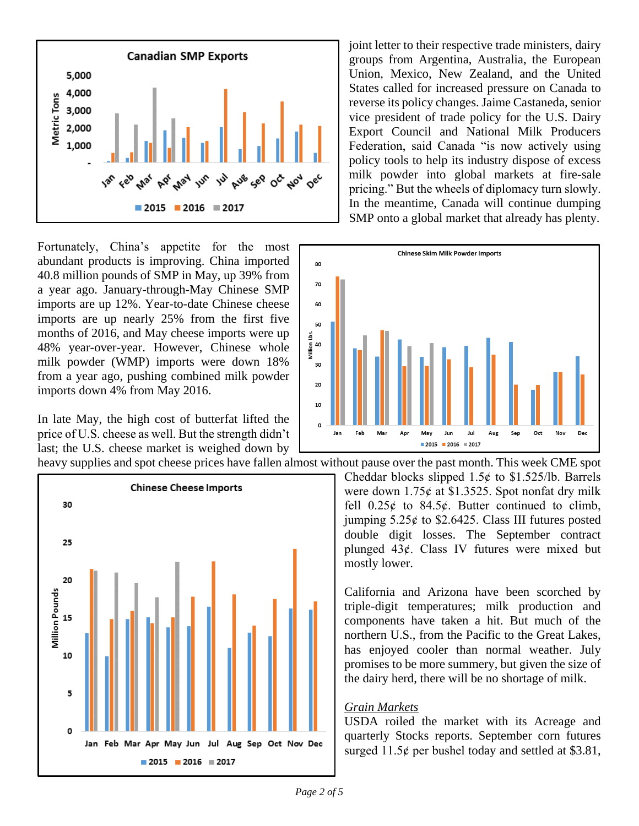

Fortunately, China's appetite for the most abundant products is improving. China imported 40.8 million pounds of SMP in May, up 39% from a year ago. January-through-May Chinese SMP imports are up 12%. Year-to-date Chinese cheese imports are up nearly 25% from the first five months of 2016, and May cheese imports were up 48% year-over-year. However, Chinese whole milk powder (WMP) imports were down 18% from a year ago, pushing combined milk powder imports down 4% from May 2016.

In late May, the high cost of butterfat lifted the price of U.S. cheese as well. But the strength didn't last; the U.S. cheese market is weighed down by



joint letter to their respective trade ministers, dairy groups from Argentina, Australia, the European Union, Mexico, New Zealand, and the United States called for increased pressure on Canada to reverse its policy changes. Jaime Castaneda, senior vice president of trade policy for the U.S. Dairy Export Council and National Milk Producers Federation, said Canada "is now actively using policy tools to help its industry dispose of excess milk powder into global markets at fire-sale pricing." But the wheels of diplomacy turn slowly. In the meantime, Canada will continue dumping SMP onto a global market that already has plenty.



heavy supplies and spot cheese prices have fallen almost without pause over the past month. This week CME spot Cheddar blocks slipped  $1.5¢$  to \$1.525/lb. Barrels were down  $1.75¢$  at \$1.3525. Spot nonfat dry milk fell  $0.25¢$  to  $84.5¢$ . Butter continued to climb, jumping  $5.25¢$  to \$2.6425. Class III futures posted double digit losses. The September contract plunged  $43¢$ . Class IV futures were mixed but

> California and Arizona have been scorched by triple-digit temperatures; milk production and components have taken a hit. But much of the northern U.S., from the Pacific to the Great Lakes, has enjoyed cooler than normal weather. July promises to be more summery, but given the size of the dairy herd, there will be no shortage of milk.

#### *Grain Markets*

mostly lower.

USDA roiled the market with its Acreage and quarterly Stocks reports. September corn futures surged  $11.5¢$  per bushel today and settled at \$3.81,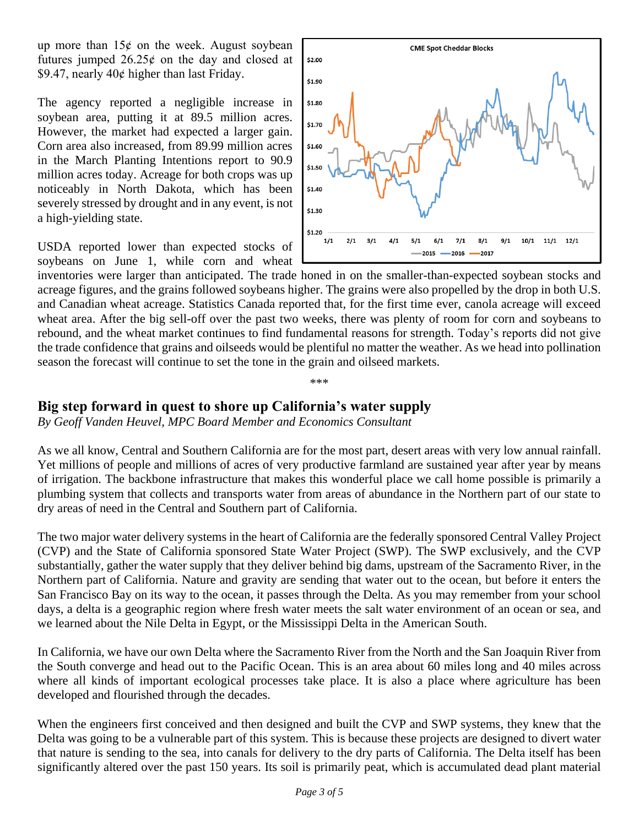up more than  $15¢$  on the week. August soybean futures jumped  $26.25¢$  on the day and closed at \$9.47, nearly  $40¢$  higher than last Friday.

The agency reported a negligible increase in soybean area, putting it at 89.5 million acres. However, the market had expected a larger gain. Corn area also increased, from 89.99 million acres in the March Planting Intentions report to 90.9 million acres today. Acreage for both crops was up noticeably in North Dakota, which has been severely stressed by drought and in any event, is not a high-yielding state.

USDA reported lower than expected stocks of soybeans on June 1, while corn and wheat



inventories were larger than anticipated. The trade honed in on the smaller-than-expected soybean stocks and acreage figures, and the grains followed soybeans higher. The grains were also propelled by the drop in both U.S. and Canadian wheat acreage. Statistics Canada reported that, for the first time ever, canola acreage will exceed wheat area. After the big sell-off over the past two weeks, there was plenty of room for corn and soybeans to rebound, and the wheat market continues to find fundamental reasons for strength. Today's reports did not give the trade confidence that grains and oilseeds would be plentiful no matter the weather. As we head into pollination season the forecast will continue to set the tone in the grain and oilseed markets.

\*\*\*

#### **Big step forward in quest to shore up California's water supply**

*By Geoff Vanden Heuvel, MPC Board Member and Economics Consultant*

As we all know, Central and Southern California are for the most part, desert areas with very low annual rainfall. Yet millions of people and millions of acres of very productive farmland are sustained year after year by means of irrigation. The backbone infrastructure that makes this wonderful place we call home possible is primarily a plumbing system that collects and transports water from areas of abundance in the Northern part of our state to dry areas of need in the Central and Southern part of California.

The two major water delivery systems in the heart of California are the federally sponsored Central Valley Project (CVP) and the State of California sponsored State Water Project (SWP). The SWP exclusively, and the CVP substantially, gather the water supply that they deliver behind big dams, upstream of the Sacramento River, in the Northern part of California. Nature and gravity are sending that water out to the ocean, but before it enters the San Francisco Bay on its way to the ocean, it passes through the Delta. As you may remember from your school days, a delta is a geographic region where fresh water meets the salt water environment of an ocean or sea, and we learned about the Nile Delta in Egypt, or the Mississippi Delta in the American South.

In California, we have our own Delta where the Sacramento River from the North and the San Joaquin River from the South converge and head out to the Pacific Ocean. This is an area about 60 miles long and 40 miles across where all kinds of important ecological processes take place. It is also a place where agriculture has been developed and flourished through the decades.

When the engineers first conceived and then designed and built the CVP and SWP systems, they knew that the Delta was going to be a vulnerable part of this system. This is because these projects are designed to divert water that nature is sending to the sea, into canals for delivery to the dry parts of California. The Delta itself has been significantly altered over the past 150 years. Its soil is primarily peat, which is accumulated dead plant material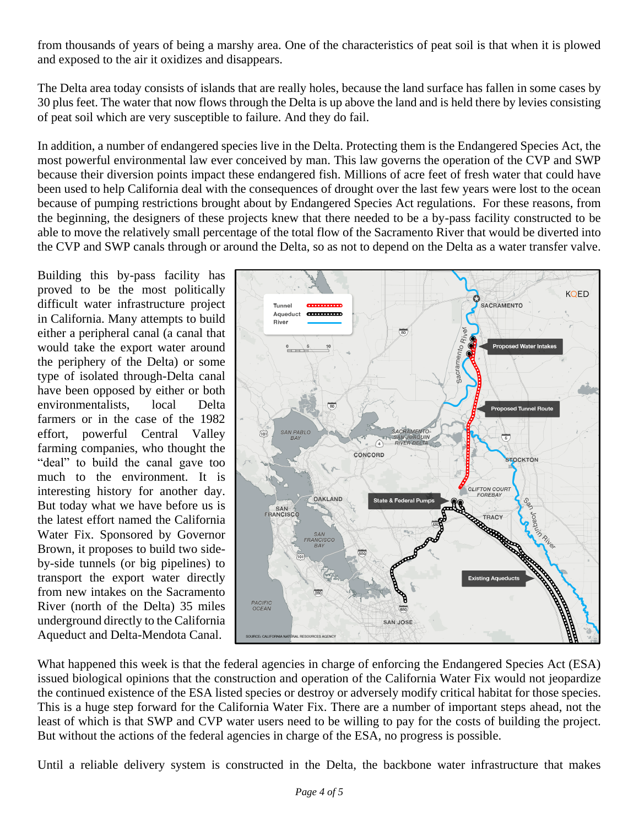from thousands of years of being a marshy area. One of the characteristics of peat soil is that when it is plowed and exposed to the air it oxidizes and disappears.

The Delta area today consists of islands that are really holes, because the land surface has fallen in some cases by 30 plus feet. The water that now flows through the Delta is up above the land and is held there by levies consisting of peat soil which are very susceptible to failure. And they do fail.

In addition, a number of endangered species live in the Delta. Protecting them is the Endangered Species Act, the most powerful environmental law ever conceived by man. This law governs the operation of the CVP and SWP because their diversion points impact these endangered fish. Millions of acre feet of fresh water that could have been used to help California deal with the consequences of drought over the last few years were lost to the ocean because of pumping restrictions brought about by Endangered Species Act regulations. For these reasons, from the beginning, the designers of these projects knew that there needed to be a by-pass facility constructed to be able to move the relatively small percentage of the total flow of the Sacramento River that would be diverted into the CVP and SWP canals through or around the Delta, so as not to depend on the Delta as a water transfer valve.

Building this by-pass facility has proved to be the most politically difficult water infrastructure project in California. Many attempts to build either a peripheral canal (a canal that would take the export water around the periphery of the Delta) or some type of isolated through-Delta canal have been opposed by either or both environmentalists, local Delta farmers or in the case of the 1982 effort, powerful Central Valley farming companies, who thought the "deal" to build the canal gave too much to the environment. It is interesting history for another day. But today what we have before us is the latest effort named the California Water Fix. Sponsored by Governor Brown, it proposes to build two sideby-side tunnels (or big pipelines) to transport the export water directly from new intakes on the Sacramento River (north of the Delta) 35 miles underground directly to the California Aqueduct and Delta-Mendota Canal.



What happened this week is that the federal agencies in charge of enforcing the Endangered Species Act (ESA) issued biological opinions that the construction and operation of the California Water Fix would not jeopardize the continued existence of the ESA listed species or destroy or adversely modify critical habitat for those species. This is a huge step forward for the California Water Fix. There are a number of important steps ahead, not the least of which is that SWP and CVP water users need to be willing to pay for the costs of building the project. But without the actions of the federal agencies in charge of the ESA, no progress is possible.

Until a reliable delivery system is constructed in the Delta, the backbone water infrastructure that makes